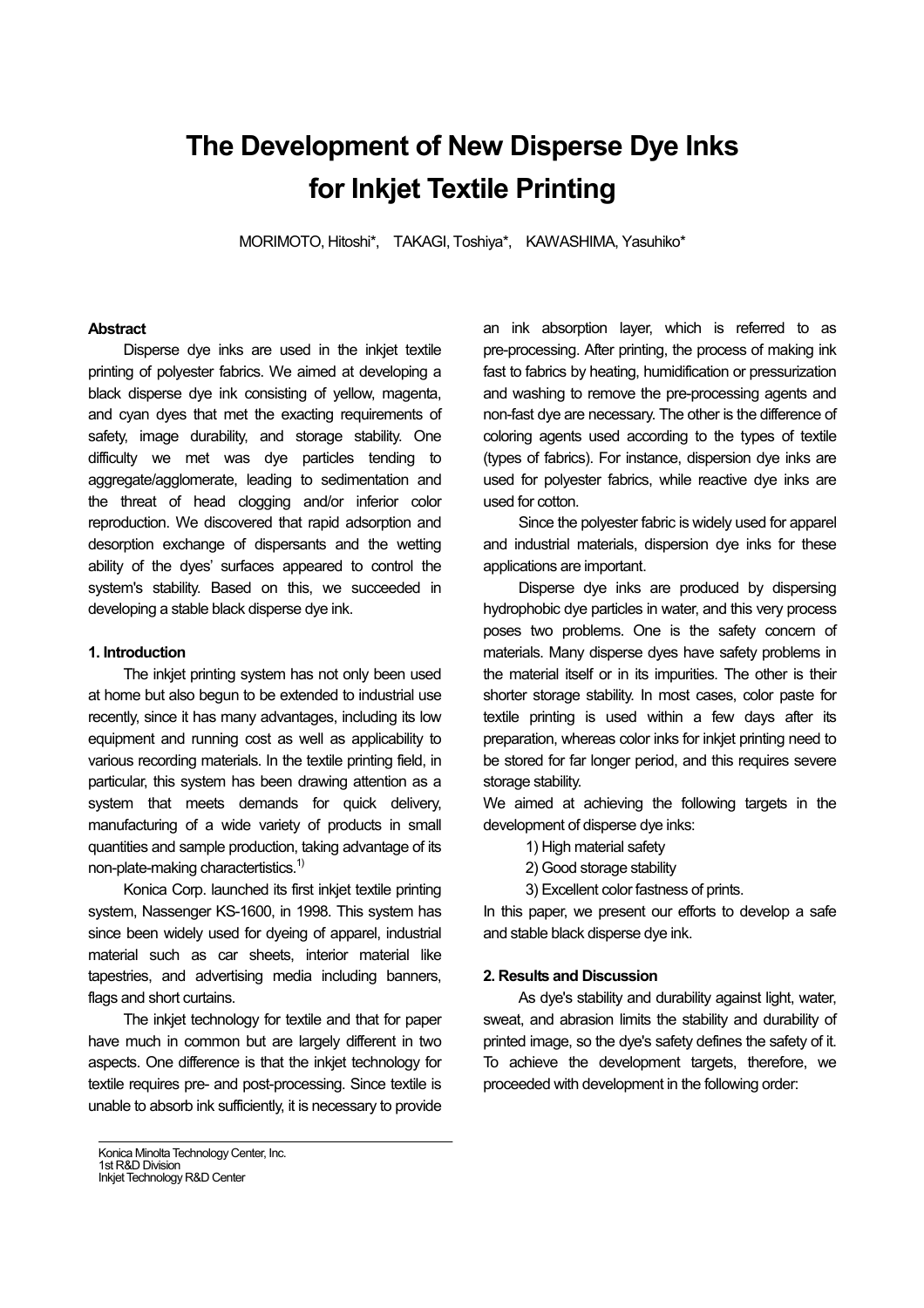# **The Development of New Disperse Dye Inks for Inkjet Textile Printing**

MORIMOTO, Hitoshi\*, TAKAGI, Toshiya\*, KAWASHIMA, Yasuhiko\*

#### **Abstract**

Disperse dye inks are used in the inkjet textile printing of polyester fabrics. We aimed at developing a black disperse dye ink consisting of yellow, magenta, and cyan dyes that met the exacting requirements of safety, image durability, and storage stability. One difficulty we met was dye particles tending to aggregate/agglomerate, leading to sedimentation and the threat of head clogging and/or inferior color reproduction. We discovered that rapid adsorption and desorption exchange of dispersants and the wetting ability of the dyes' surfaces appeared to control the system's stability. Based on this, we succeeded in developing a stable black disperse dye ink.

#### **1. Introduction**

The inkjet printing system has not only been used at home but also begun to be extended to industrial use recently, since it has many advantages, including its low equipment and running cost as well as applicability to various recording materials. In the textile printing field, in particular, this system has been drawing attention as a system that meets demands for quick delivery, manufacturing of a wide variety of products in small quantities and sample production, taking advantage of its non-plate-making charactertistics.<sup>1)</sup>

Konica Corp. launched its first inkjet textile printing system, Nassenger KS-1600, in 1998. This system has since been widely used for dyeing of apparel, industrial material such as car sheets, interior material like tapestries, and advertising media including banners, flags and short curtains.

The inkjet technology for textile and that for paper have much in common but are largely different in two aspects. One difference is that the inkjet technology for textile requires pre- and post-processing. Since textile is unable to absorb ink sufficiently, it is necessary to provide

an ink absorption layer, which is referred to as pre-processing. After printing, the process of making ink fast to fabrics by heating, humidification or pressurization and washing to remove the pre-processing agents and non-fast dye are necessary. The other is the difference of coloring agents used according to the types of textile (types of fabrics). For instance, dispersion dye inks are used for polyester fabrics, while reactive dye inks are used for cotton.

Since the polyester fabric is widely used for apparel and industrial materials, dispersion dye inks for these applications are important.

Disperse dye inks are produced by dispersing hydrophobic dye particles in water, and this very process poses two problems. One is the safety concern of materials. Many disperse dyes have safety problems in the material itself or in its impurities. The other is their shorter storage stability. In most cases, color paste for textile printing is used within a few days after its preparation, whereas color inks for inkjet printing need to be stored for far longer period, and this requires severe storage stability.

We aimed at achieving the following targets in the development of disperse dye inks:

- 1) High material safety
- 2) Good storage stability
- 3) Excellent color fastness of prints.

In this paper, we present our efforts to develop a safe and stable black disperse dye ink.

#### **2. Results and Discussion**

As dye's stability and durability against light, water, sweat, and abrasion limits the stability and durability of printed image, so the dye's safety defines the safety of it. To achieve the development targets, therefore, we proceeded with development in the following order:

Konica Minolta Technology Center, Inc. 1st R&D Division Inkjet Technology R&D Center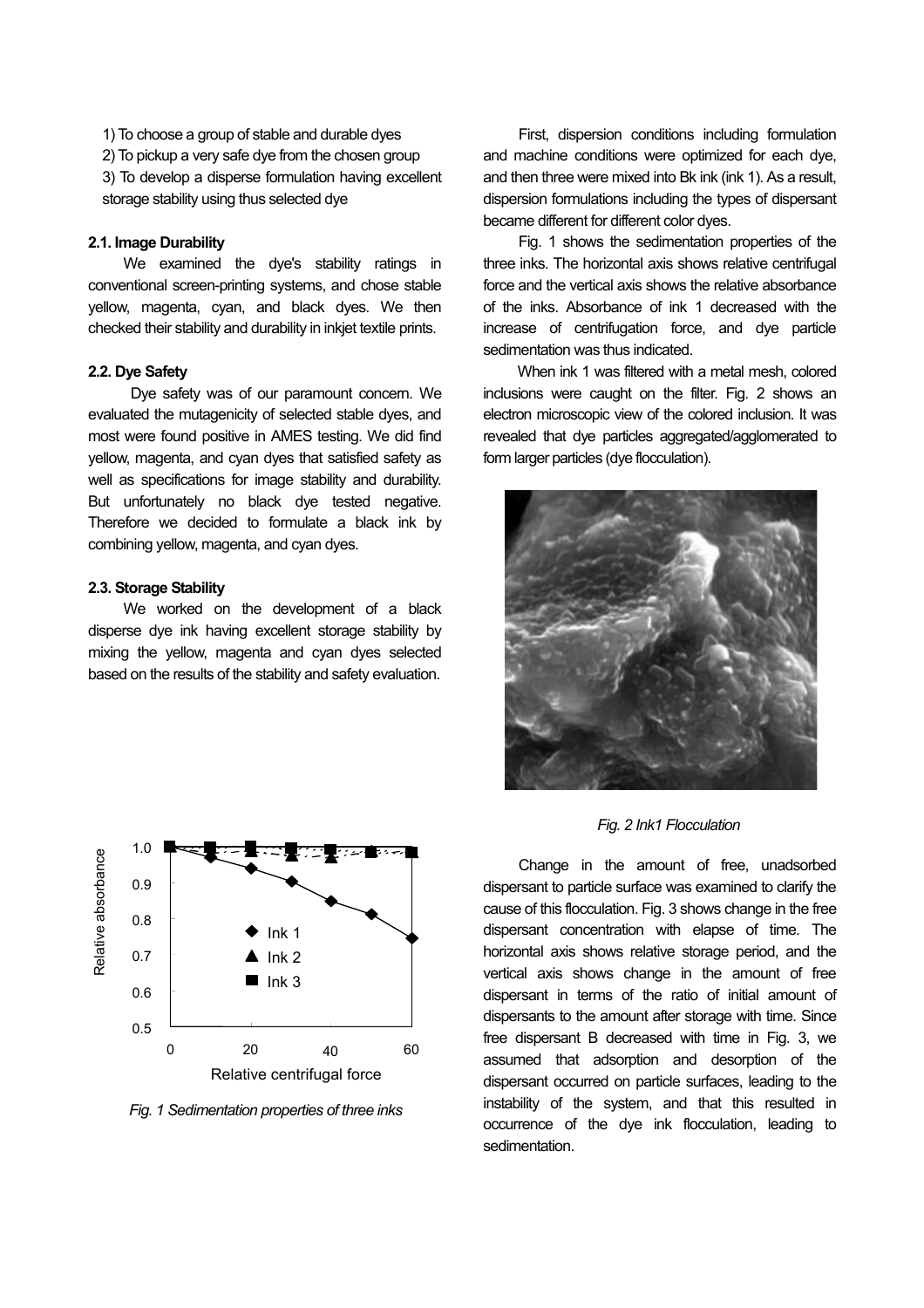1) To choose a group of stable and durable dyes

2) To pickup a very safe dye from the chosen group

3) To develop a disperse formulation having excellent storage stability using thus selected dye

#### **2.1. Image Durability**

We examined the dye's stability ratings in conventional screen-printing systems, and chose stable yellow, magenta, cyan, and black dyes. We then checked their stability and durability in inkjet textile prints.

# **2.2. Dye Safety**

Dye safety was of our paramount concern. We evaluated the mutagenicity of selected stable dyes, and most were found positive in AMES testing. We did find yellow, magenta, and cyan dyes that satisfied safety as well as specifications for image stability and durability. But unfortunately no black dye tested negative. Therefore we decided to formulate a black ink by combining yellow, magenta, and cyan dyes.

#### **2.3. Storage Stability**

We worked on the development of a black disperse dye ink having excellent storage stability by mixing the yellow, magenta and cyan dyes selected based on the results of the stability and safety evaluation.



*Fig. 1 Sedimentation properties of three inks*

First, dispersion conditions including formulation and machine conditions were optimized for each dye, and then three were mixed into Bk ink (ink 1). As a result, dispersion formulations including the types of dispersant became different for different color dyes.

Fig. 1 shows the sedimentation properties of the three inks. The horizontal axis shows relative centrifugal force and the vertical axis shows the relative absorbance of the inks. Absorbance of ink 1 decreased with the increase of centrifugation force, and dye particle sedimentation was thus indicated.

When ink 1 was filtered with a metal mesh, colored inclusions were caught on the filter. Fig. 2 shows an electron microscopic view of the colored inclusion. It was revealed that dye particles aggregated/agglomerated to form larger particles (dye flocculation).



# *Fig. 2 Ink1 Flocculation*

Change in the amount of free, unadsorbed dispersant to particle surface was examined to clarify the cause of this flocculation. Fig. 3 shows change in the free dispersant concentration with elapse of time. The horizontal axis shows relative storage period, and the vertical axis shows change in the amount of free dispersant in terms of the ratio of initial amount of dispersants to the amount after storage with time. Since free dispersant B decreased with time in Fig. 3, we assumed that adsorption and desorption of the dispersant occurred on particle surfaces, leading to the instability of the system, and that this resulted in occurrence of the dye ink flocculation, leading to sedimentation.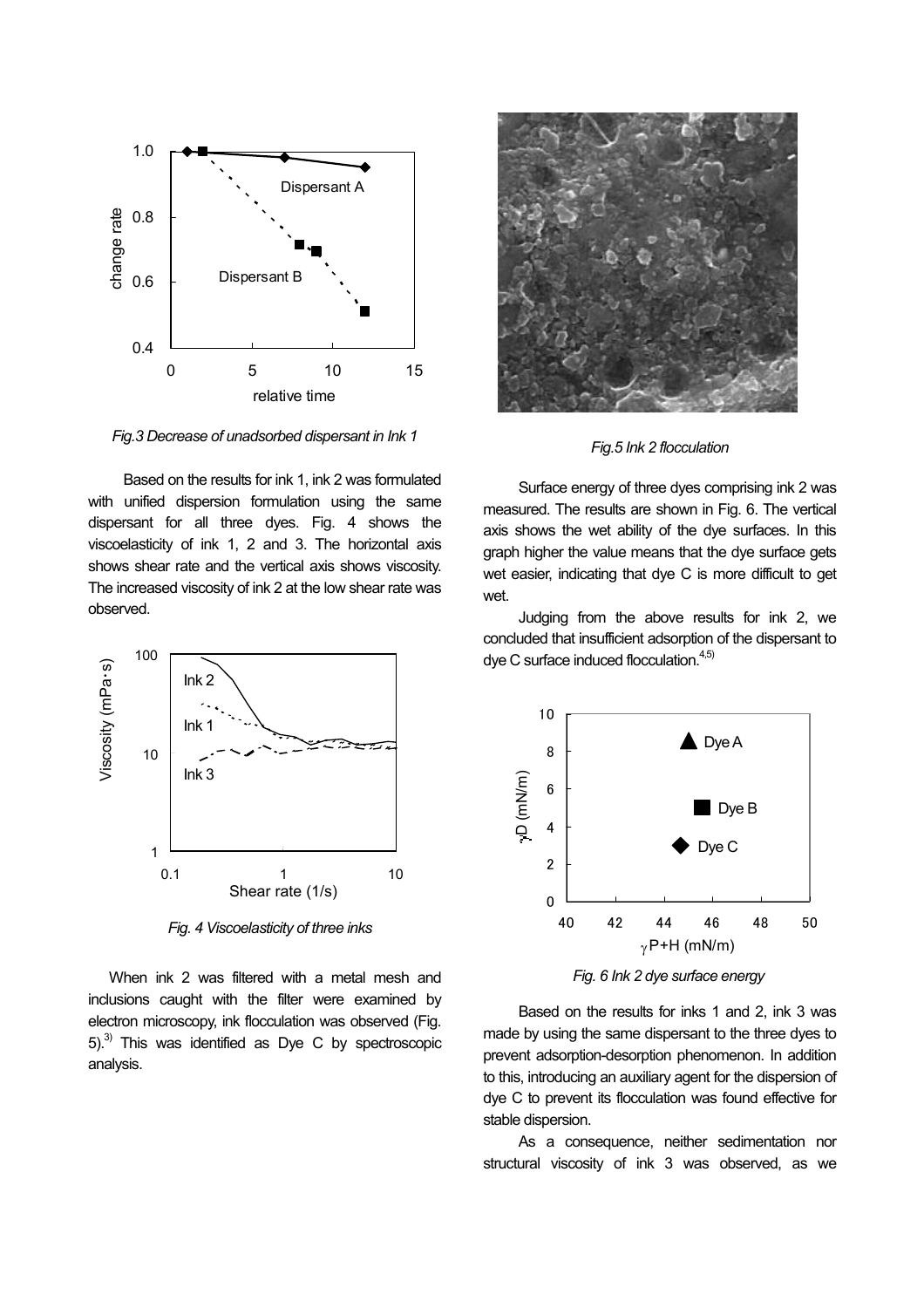

*Fig.3 Decrease of unadsorbed dispersant in Ink 1* 

Based on the results for ink 1, ink 2 was formulated with unified dispersion formulation using the same dispersant for all three dyes. Fig. 4 shows the viscoelasticity of ink 1, 2 and 3. The horizontal axis shows shear rate and the vertical axis shows viscosity. The increased viscosity of ink 2 at the low shear rate was observed.



*Fig. 4 Viscoelasticity of three inks*

 When ink 2 was filtered with a metal mesh and inclusions caught with the filter were examined by electron microscopy, ink flocculation was observed (Fig.  $5$ .<sup>3)</sup> This was identified as Dye C by spectroscopic analysis.



*Fig.5 Ink 2 flocculation*

Surface energy of three dyes comprising ink 2 was measured. The results are shown in Fig. 6. The vertical axis shows the wet ability of the dye surfaces. In this graph higher the value means that the dye surface gets wet easier, indicating that dye C is more difficult to get wet.

Judging from the above results for ink 2, we concluded that insufficient adsorption of the dispersant to  $\mathsf{dye}$  C surface induced flocculation. $4,5$ )



*Fig. 6 Ink 2 dye surface energy*

Based on the results for inks 1 and 2, ink 3 was made by using the same dispersant to the three dyes to prevent adsorption-desorption phenomenon. In addition to this, introducing an auxiliary agent for the dispersion of dye C to prevent its flocculation was found effective for stable dispersion.

As a consequence, neither sedimentation nor structural viscosity of ink 3 was observed, as we